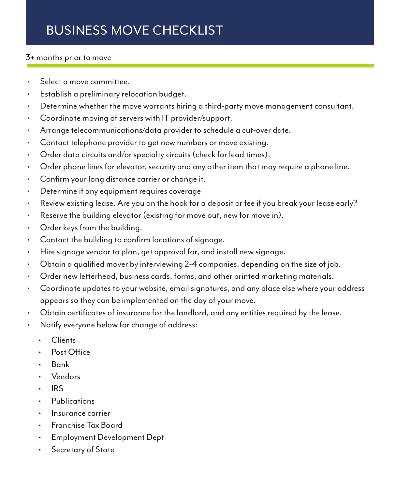# BUSINESS MOVE CHECKLIST

## 3+ months prior to move

- Select a move committee.
- Establish a preliminary relocation budget.
- Determine whether the move warrants hiring a third-party move management consultant.
- Coordinate moving of servers with IT provider/support.
- Arrange telecommunications/data provider to schedule a cut-over date.
- Contact telephone provider to get new numbers or move existing.
- Order data circuits and/or specialty circuits (check for lead times).
- Order phone lines for elevator, security and any other item that may require a phone line.
- Confirm your long distance carrier or change it.
- Determine if any equipment requires coverage
- Review existing lease. Are you on the hook for a deposit or fee if you break your lease early?
- Reserve the building elevator (existing for move out, new for move in).
- Order keys from the building.
- Contact the building to confirm locations of signage.
- Hire signage vendor to plan, get approval for, and install new signage.
- Obtain a qualified mover by interviewing 2-4 companies, depending on the size of job.
- Order new letterhead, business cards, forms, and other printed marketing materials.
- Coordinate updates to your website, email signatures, and any place else where your address appears so they can be implemented on the day of your move.
- Obtain certificates of insurance for the landlord, and any entities required by the lease.
- Notify everyone below for change of address:
	- Clients
	- Post Office
	- Bank
	- Vendors
	- IRS
	- **Publications**
	- Insurance carrier
	- Franchise Tax Board
	- Employment Development Dept
	- Secretary of State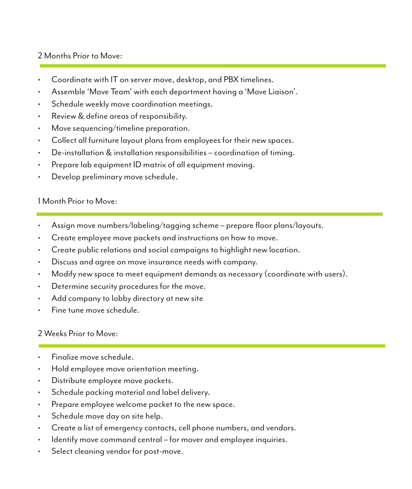#### 2 Months Prior to Move:

- Coordinate with IT on server move, desktop, and PBX timelines.
- Assemble 'Move Team' with each department having a 'Move Liaison'.
- Schedule weekly move coordination meetings.
- Review & define areas of responsibility.
- Move sequencing/timeline preparation.
- Collect all furniture layout plans from employees for their new spaces.
- De-installation & installation responsibilities coordination of timing.
- Prepare lab equipment ID matrix of all equipment moving.
- Develop preliminary move schedule.

## 1 Month Prior to Move:

- Assign move numbers/labeling/tagging scheme prepare floor plans/layouts.
- Create employee move packets and instructions on how to move.
- Create public relations and social campaigns to highlight new location.
- Discuss and agree on move insurance needs with company.
- Modify new space to meet equipment demands as necessary (coordinate with users).
- Determine security procedures for the move.
- Add company to lobby directory at new site
- Fine tune move schedule.

#### 2 Weeks Prior to Move:

- Finalize move schedule.
- Hold employee move orientation meeting.
- Distribute employee move packets.
- Schedule packing material and label delivery.
- Prepare employee welcome packet to the new space.
- Schedule move day on site help.
- Create a list of emergency contacts, cell phone numbers, and vendors.
- Identify move command central for mover and employee inquiries.
- Select cleaning vendor for post-move.